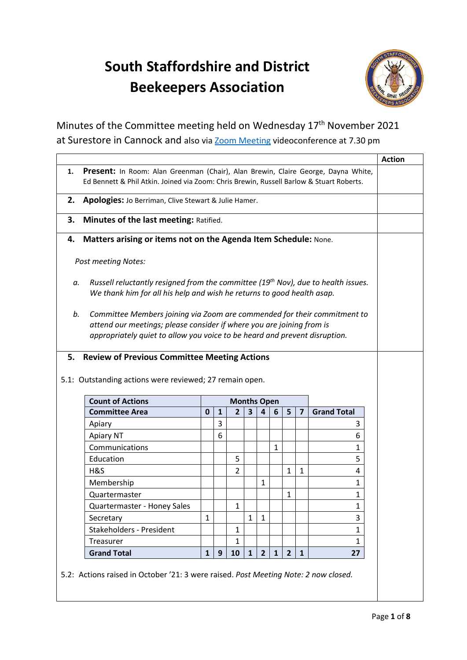## **South Staffordshire and District Beekeepers Association**



Minutes of the Committee meeting held on Wednesday 17<sup>th</sup> November 2021 at Surestore in Cannock and also via **Zoom Meeting videoconference at 7.30** pm

|    |                                                                                                                                                                                                                                 |              |              |                    |                         |              |              |              |                         |                    | <b>Action</b> |
|----|---------------------------------------------------------------------------------------------------------------------------------------------------------------------------------------------------------------------------------|--------------|--------------|--------------------|-------------------------|--------------|--------------|--------------|-------------------------|--------------------|---------------|
| 1. | Present: In Room: Alan Greenman (Chair), Alan Brewin, Claire George, Dayna White,<br>Ed Bennett & Phil Atkin. Joined via Zoom: Chris Brewin, Russell Barlow & Stuart Roberts.                                                   |              |              |                    |                         |              |              |              |                         |                    |               |
|    |                                                                                                                                                                                                                                 |              |              |                    |                         |              |              |              |                         |                    |               |
| 2. | Apologies: Jo Berriman, Clive Stewart & Julie Hamer.                                                                                                                                                                            |              |              |                    |                         |              |              |              |                         |                    |               |
| З. | Minutes of the last meeting: Ratified.                                                                                                                                                                                          |              |              |                    |                         |              |              |              |                         |                    |               |
| 4. | Matters arising or items not on the Agenda Item Schedule: None.                                                                                                                                                                 |              |              |                    |                         |              |              |              |                         |                    |               |
|    | <b>Post meeting Notes:</b>                                                                                                                                                                                                      |              |              |                    |                         |              |              |              |                         |                    |               |
|    |                                                                                                                                                                                                                                 |              |              |                    |                         |              |              |              |                         |                    |               |
| а. | Russell reluctantly resigned from the committee (19 <sup>th</sup> Nov), due to health issues.<br>We thank him for all his help and wish he returns to good health asap.                                                         |              |              |                    |                         |              |              |              |                         |                    |               |
| b. | Committee Members joining via Zoom are commended for their commitment to<br>attend our meetings; please consider if where you are joining from is<br>appropriately quiet to allow you voice to be heard and prevent disruption. |              |              |                    |                         |              |              |              |                         |                    |               |
|    |                                                                                                                                                                                                                                 |              |              |                    |                         |              |              |              |                         |                    |               |
|    | <b>Review of Previous Committee Meeting Actions</b>                                                                                                                                                                             |              |              |                    |                         |              |              |              |                         |                    |               |
|    | 5.1: Outstanding actions were reviewed; 27 remain open.                                                                                                                                                                         |              |              |                    |                         |              |              |              |                         |                    |               |
|    | <b>Count of Actions</b>                                                                                                                                                                                                         |              |              | <b>Months Open</b> |                         |              |              |              |                         |                    |               |
|    | <b>Committee Area</b>                                                                                                                                                                                                           | $\mathbf{0}$ | $\mathbf{1}$ | $\overline{2}$     | $\overline{\mathbf{3}}$ | 4            | 6            | 5            | $\overline{\mathbf{z}}$ | <b>Grand Total</b> |               |
|    | Apiary                                                                                                                                                                                                                          |              | 3            |                    |                         |              |              |              |                         | 3                  |               |
|    | Apiary NT                                                                                                                                                                                                                       |              | 6            |                    |                         |              |              |              |                         | 6                  |               |
|    | Communications                                                                                                                                                                                                                  |              |              |                    |                         |              | $\mathbf{1}$ |              |                         | 1                  |               |
|    | Education                                                                                                                                                                                                                       |              |              | 5                  |                         |              |              |              |                         | 5                  |               |
|    | H&S                                                                                                                                                                                                                             |              |              | 2                  |                         |              |              | $\mathbf{1}$ | $\mathbf 1$             | 4                  |               |
|    | Membership                                                                                                                                                                                                                      |              |              |                    |                         | 1            |              |              |                         | 1                  |               |
|    | Quartermaster                                                                                                                                                                                                                   |              |              |                    |                         |              |              | $\mathbf{1}$ |                         | 1                  |               |
|    | Quartermaster - Honey Sales                                                                                                                                                                                                     |              |              | $\mathbf{1}$       |                         |              |              |              |                         | 1                  |               |
|    | Secretary                                                                                                                                                                                                                       | 1            |              |                    | $\mathbf{1}$            | $\mathbf{1}$ |              |              |                         | 3                  |               |
|    | Stakeholders - President                                                                                                                                                                                                        |              |              | $\mathbf{1}$       |                         |              |              |              |                         | 1                  |               |
| 5. | Treasurer                                                                                                                                                                                                                       |              |              | 1                  |                         |              |              |              |                         | 1                  |               |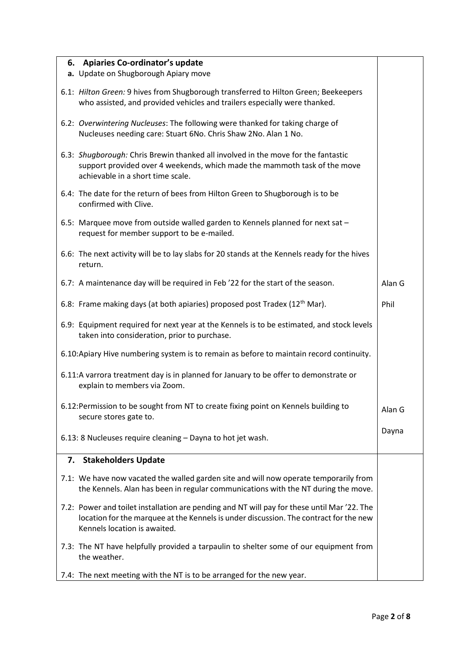| 6. Apiaries Co-ordinator's update                                                                                                                                                                                    |        |
|----------------------------------------------------------------------------------------------------------------------------------------------------------------------------------------------------------------------|--------|
| a. Update on Shugborough Apiary move                                                                                                                                                                                 |        |
| 6.1: Hilton Green: 9 hives from Shugborough transferred to Hilton Green; Beekeepers<br>who assisted, and provided vehicles and trailers especially were thanked.                                                     |        |
| 6.2: Overwintering Nucleuses: The following were thanked for taking charge of<br>Nucleuses needing care: Stuart 6No. Chris Shaw 2No. Alan 1 No.                                                                      |        |
| 6.3: Shugborough: Chris Brewin thanked all involved in the move for the fantastic<br>support provided over 4 weekends, which made the mammoth task of the move<br>achievable in a short time scale.                  |        |
| 6.4: The date for the return of bees from Hilton Green to Shugborough is to be<br>confirmed with Clive.                                                                                                              |        |
| 6.5: Marquee move from outside walled garden to Kennels planned for next sat -<br>request for member support to be e-mailed.                                                                                         |        |
| 6.6: The next activity will be to lay slabs for 20 stands at the Kennels ready for the hives<br>return.                                                                                                              |        |
| 6.7: A maintenance day will be required in Feb '22 for the start of the season.                                                                                                                                      | Alan G |
| 6.8: Frame making days (at both apiaries) proposed post Tradex (12 <sup>th</sup> Mar).                                                                                                                               | Phil   |
| 6.9: Equipment required for next year at the Kennels is to be estimated, and stock levels<br>taken into consideration, prior to purchase.                                                                            |        |
| 6.10: Apiary Hive numbering system is to remain as before to maintain record continuity.                                                                                                                             |        |
| 6.11:A varrora treatment day is in planned for January to be offer to demonstrate or<br>explain to members via Zoom.                                                                                                 |        |
| 6.12: Permission to be sought from NT to create fixing point on Kennels building to<br>secure stores gate to.                                                                                                        | Alan G |
| 6.13: 8 Nucleuses require cleaning - Dayna to hot jet wash.                                                                                                                                                          | Dayna  |
| 7. Stakeholders Update                                                                                                                                                                                               |        |
| 7.1: We have now vacated the walled garden site and will now operate temporarily from<br>the Kennels. Alan has been in regular communications with the NT during the move.                                           |        |
| 7.2: Power and toilet installation are pending and NT will pay for these until Mar '22. The<br>location for the marquee at the Kennels is under discussion. The contract for the new<br>Kennels location is awaited. |        |
| 7.3: The NT have helpfully provided a tarpaulin to shelter some of our equipment from<br>the weather.                                                                                                                |        |
| 7.4: The next meeting with the NT is to be arranged for the new year.                                                                                                                                                |        |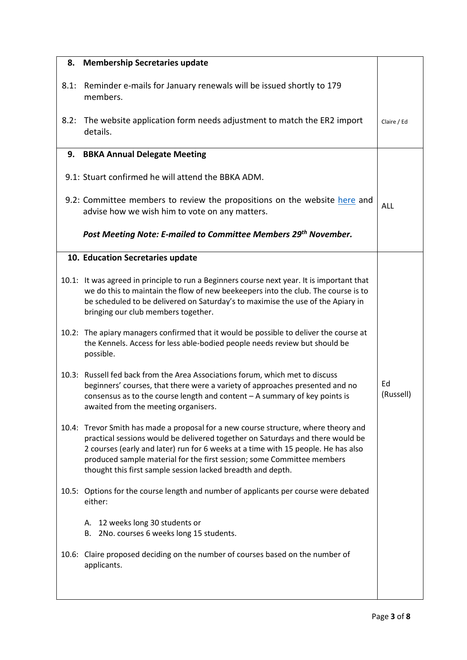|      | 8. Membership Secretaries update                                                                                                                                                                                                                                                                                                                                                                    |                 |
|------|-----------------------------------------------------------------------------------------------------------------------------------------------------------------------------------------------------------------------------------------------------------------------------------------------------------------------------------------------------------------------------------------------------|-----------------|
| 8.1: | Reminder e-mails for January renewals will be issued shortly to 179<br>members.                                                                                                                                                                                                                                                                                                                     |                 |
| 8.2: | The website application form needs adjustment to match the ER2 import<br>details.                                                                                                                                                                                                                                                                                                                   | Claire / Ed     |
|      | 9. BBKA Annual Delegate Meeting                                                                                                                                                                                                                                                                                                                                                                     |                 |
|      | 9.1: Stuart confirmed he will attend the BBKA ADM.                                                                                                                                                                                                                                                                                                                                                  |                 |
|      | 9.2: Committee members to review the propositions on the website here and<br>advise how we wish him to vote on any matters.                                                                                                                                                                                                                                                                         | ALL             |
|      | Post Meeting Note: E-mailed to Committee Members 29th November.                                                                                                                                                                                                                                                                                                                                     |                 |
|      | 10. Education Secretaries update                                                                                                                                                                                                                                                                                                                                                                    |                 |
|      | 10.1: It was agreed in principle to run a Beginners course next year. It is important that<br>we do this to maintain the flow of new beekeepers into the club. The course is to<br>be scheduled to be delivered on Saturday's to maximise the use of the Apiary in<br>bringing our club members together.                                                                                           |                 |
|      | 10.2: The apiary managers confirmed that it would be possible to deliver the course at<br>the Kennels. Access for less able-bodied people needs review but should be<br>possible.                                                                                                                                                                                                                   |                 |
|      | 10.3: Russell fed back from the Area Associations forum, which met to discuss<br>beginners' courses, that there were a variety of approaches presented and no<br>consensus as to the course length and content - A summary of key points is<br>awaited from the meeting organisers.                                                                                                                 | Ed<br>(Russell) |
|      | 10.4: Trevor Smith has made a proposal for a new course structure, where theory and<br>practical sessions would be delivered together on Saturdays and there would be<br>2 courses (early and later) run for 6 weeks at a time with 15 people. He has also<br>produced sample material for the first session; some Committee members<br>thought this first sample session lacked breadth and depth. |                 |
|      | 10.5: Options for the course length and number of applicants per course were debated<br>either:                                                                                                                                                                                                                                                                                                     |                 |
|      | A. 12 weeks long 30 students or<br>B. 2No. courses 6 weeks long 15 students.                                                                                                                                                                                                                                                                                                                        |                 |
|      | 10.6: Claire proposed deciding on the number of courses based on the number of<br>applicants.                                                                                                                                                                                                                                                                                                       |                 |
|      |                                                                                                                                                                                                                                                                                                                                                                                                     |                 |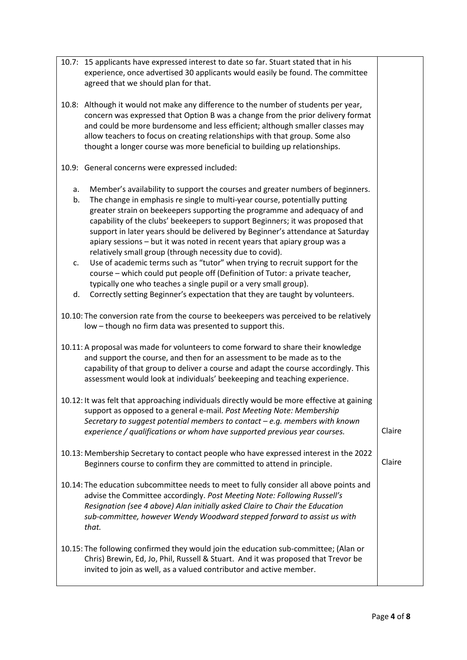| 10.7: 15 applicants have expressed interest to date so far. Stuart stated that in his<br>experience, once advertised 30 applicants would easily be found. The committee<br>agreed that we should plan for that.                                                                                                                                                                                                                                                                                                                                                      |        |
|----------------------------------------------------------------------------------------------------------------------------------------------------------------------------------------------------------------------------------------------------------------------------------------------------------------------------------------------------------------------------------------------------------------------------------------------------------------------------------------------------------------------------------------------------------------------|--------|
| 10.8: Although it would not make any difference to the number of students per year,<br>concern was expressed that Option B was a change from the prior delivery format<br>and could be more burdensome and less efficient; although smaller classes may<br>allow teachers to focus on creating relationships with that group. Some also<br>thought a longer course was more beneficial to building up relationships.                                                                                                                                                 |        |
| 10.9: General concerns were expressed included:                                                                                                                                                                                                                                                                                                                                                                                                                                                                                                                      |        |
| Member's availability to support the courses and greater numbers of beginners.<br>a.<br>The change in emphasis re single to multi-year course, potentially putting<br>b.<br>greater strain on beekeepers supporting the programme and adequacy of and<br>capability of the clubs' beekeepers to support Beginners; it was proposed that<br>support in later years should be delivered by Beginner's attendance at Saturday<br>apiary sessions - but it was noted in recent years that apiary group was a<br>relatively small group (through necessity due to covid). |        |
| Use of academic terms such as "tutor" when trying to recruit support for the<br>c.<br>course - which could put people off (Definition of Tutor: a private teacher,<br>typically one who teaches a single pupil or a very small group).                                                                                                                                                                                                                                                                                                                               |        |
| Correctly setting Beginner's expectation that they are taught by volunteers.<br>d.                                                                                                                                                                                                                                                                                                                                                                                                                                                                                   |        |
| 10.10: The conversion rate from the course to beekeepers was perceived to be relatively<br>low - though no firm data was presented to support this.                                                                                                                                                                                                                                                                                                                                                                                                                  |        |
| 10.11: A proposal was made for volunteers to come forward to share their knowledge<br>and support the course, and then for an assessment to be made as to the<br>capability of that group to deliver a course and adapt the course accordingly. This<br>assessment would look at individuals' beekeeping and teaching experience.                                                                                                                                                                                                                                    |        |
| 10.12: It was felt that approaching individuals directly would be more effective at gaining<br>support as opposed to a general e-mail. Post Meeting Note: Membership<br>Secretary to suggest potential members to contact $-e.g.$ members with known<br>experience / qualifications or whom have supported previous year courses.                                                                                                                                                                                                                                    | Claire |
| 10.13: Membership Secretary to contact people who have expressed interest in the 2022<br>Beginners course to confirm they are committed to attend in principle.                                                                                                                                                                                                                                                                                                                                                                                                      | Claire |
| 10.14: The education subcommittee needs to meet to fully consider all above points and<br>advise the Committee accordingly. Post Meeting Note: Following Russell's<br>Resignation (see 4 above) Alan initially asked Claire to Chair the Education<br>sub-committee, however Wendy Woodward stepped forward to assist us with<br>that.                                                                                                                                                                                                                               |        |
| 10.15: The following confirmed they would join the education sub-committee; (Alan or<br>Chris) Brewin, Ed, Jo, Phil, Russell & Stuart. And it was proposed that Trevor be<br>invited to join as well, as a valued contributor and active member.                                                                                                                                                                                                                                                                                                                     |        |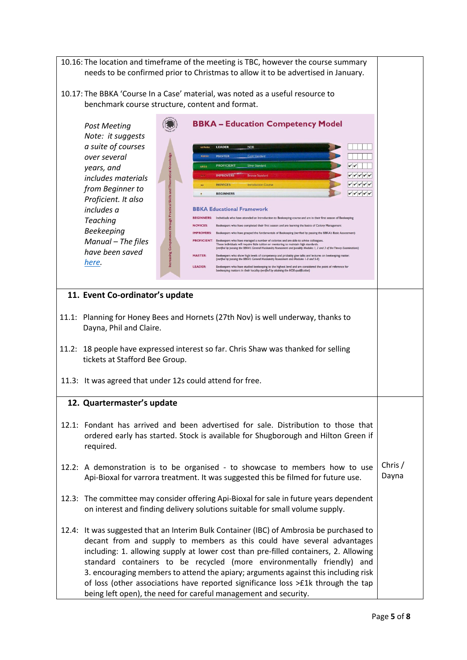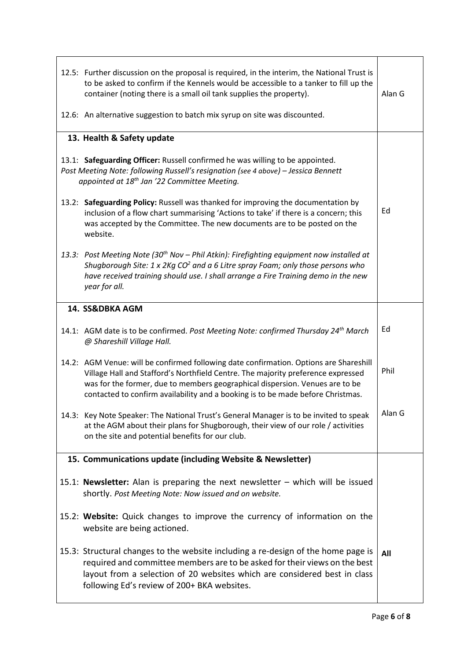| 12.5: Further discussion on the proposal is required, in the interim, the National Trust is<br>to be asked to confirm if the Kennels would be accessible to a tanker to fill up the<br>container (noting there is a small oil tank supplies the property).<br>12.6: An alternative suggestion to batch mix syrup on site was discounted.      | Alan G |
|-----------------------------------------------------------------------------------------------------------------------------------------------------------------------------------------------------------------------------------------------------------------------------------------------------------------------------------------------|--------|
| 13. Health & Safety update                                                                                                                                                                                                                                                                                                                    |        |
| 13.1: Safeguarding Officer: Russell confirmed he was willing to be appointed.<br>Post Meeting Note: following Russell's resignation (see 4 above) - Jessica Bennett<br>appointed at 18 <sup>th</sup> Jan '22 Committee Meeting.                                                                                                               |        |
| 13.2: Safeguarding Policy: Russell was thanked for improving the documentation by<br>inclusion of a flow chart summarising 'Actions to take' if there is a concern; this<br>was accepted by the Committee. The new documents are to be posted on the<br>website.                                                                              | Ed     |
| 13.3: Post Meeting Note (30 <sup>th</sup> Nov - Phil Atkin): Firefighting equipment now installed at<br>Shugborough Site: $1 \times 2$ Kg CO <sup>2</sup> and a 6 Litre spray Foam; only those persons who<br>have received training should use. I shall arrange a Fire Training demo in the new<br>year for all.                             |        |
| 14. SS&DBKA AGM                                                                                                                                                                                                                                                                                                                               |        |
| 14.1: AGM date is to be confirmed. Post Meeting Note: confirmed Thursday 24 <sup>th</sup> March<br>@ Shareshill Village Hall.                                                                                                                                                                                                                 | Ed     |
| 14.2: AGM Venue: will be confirmed following date confirmation. Options are Shareshill<br>Village Hall and Stafford's Northfield Centre. The majority preference expressed<br>was for the former, due to members geographical dispersion. Venues are to be<br>contacted to confirm availability and a booking is to be made before Christmas. | Phil   |
| 14.3: Key Note Speaker: The National Trust's General Manager is to be invited to speak<br>at the AGM about their plans for Shugborough, their view of our role / activities<br>on the site and potential benefits for our club.                                                                                                               | Alan G |
| 15. Communications update (including Website & Newsletter)                                                                                                                                                                                                                                                                                    |        |
| 15.1: Newsletter: Alan is preparing the next newsletter - which will be issued<br>shortly. Post Meeting Note: Now issued and on website.                                                                                                                                                                                                      |        |
| 15.2: Website: Quick changes to improve the currency of information on the<br>website are being actioned.                                                                                                                                                                                                                                     |        |
| 15.3: Structural changes to the website including a re-design of the home page is<br>required and committee members are to be asked for their views on the best<br>layout from a selection of 20 websites which are considered best in class<br>following Ed's review of 200+ BKA websites.                                                   | All    |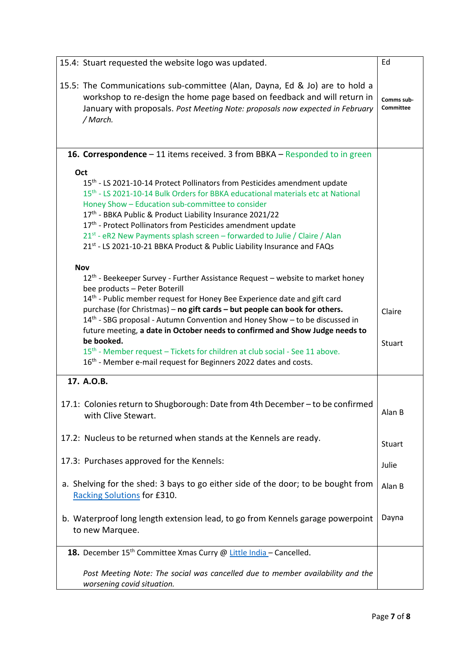| 15.4: Stuart requested the website logo was updated.                                                                                                                                                                                                                                                                                                                                                                                                                                                                                                                                                                                                                    | Ed                             |
|-------------------------------------------------------------------------------------------------------------------------------------------------------------------------------------------------------------------------------------------------------------------------------------------------------------------------------------------------------------------------------------------------------------------------------------------------------------------------------------------------------------------------------------------------------------------------------------------------------------------------------------------------------------------------|--------------------------------|
| 15.5: The Communications sub-committee (Alan, Dayna, Ed & Jo) are to hold a<br>workshop to re-design the home page based on feedback and will return in<br>January with proposals. Post Meeting Note: proposals now expected in February<br>/ March.                                                                                                                                                                                                                                                                                                                                                                                                                    | Comms sub-<br><b>Committee</b> |
| <b>16. Correspondence</b> – 11 items received. 3 from BBKA – Responded to in green                                                                                                                                                                                                                                                                                                                                                                                                                                                                                                                                                                                      |                                |
| Oct<br>15 <sup>th</sup> - LS 2021-10-14 Protect Pollinators from Pesticides amendment update<br>15 <sup>th</sup> - LS 2021-10-14 Bulk Orders for BBKA educational materials etc at National<br>Honey Show - Education sub-committee to consider<br>17th - BBKA Public & Product Liability Insurance 2021/22<br>17th - Protect Pollinators from Pesticides amendment update<br>21 <sup>st</sup> - eR2 New Payments splash screen – forwarded to Julie / Claire / Alan<br>21st - LS 2021-10-21 BBKA Product & Public Liability Insurance and FAQs                                                                                                                         |                                |
| <b>Nov</b><br>12 <sup>th</sup> - Beekeeper Survey - Further Assistance Request – website to market honey<br>bee products - Peter Boterill<br>14th - Public member request for Honey Bee Experience date and gift card<br>purchase (for Christmas) - no gift cards - but people can book for others.<br>14 <sup>th</sup> - SBG proposal - Autumn Convention and Honey Show - to be discussed in<br>future meeting, a date in October needs to confirmed and Show Judge needs to<br>be booked.<br>15 <sup>th</sup> - Member request - Tickets for children at club social - See 11 above.<br>16 <sup>th</sup> - Member e-mail request for Beginners 2022 dates and costs. | Claire<br>Stuart               |
| 17. A.O.B.                                                                                                                                                                                                                                                                                                                                                                                                                                                                                                                                                                                                                                                              |                                |
| 17.1: Colonies return to Shugborough: Date from 4th December - to be confirmed<br>with Clive Stewart.                                                                                                                                                                                                                                                                                                                                                                                                                                                                                                                                                                   | Alan B                         |
| 17.2: Nucleus to be returned when stands at the Kennels are ready.                                                                                                                                                                                                                                                                                                                                                                                                                                                                                                                                                                                                      | Stuart                         |
| 17.3: Purchases approved for the Kennels:                                                                                                                                                                                                                                                                                                                                                                                                                                                                                                                                                                                                                               | Julie                          |
| a. Shelving for the shed: 3 bays to go either side of the door; to be bought from<br>Racking Solutions for £310.                                                                                                                                                                                                                                                                                                                                                                                                                                                                                                                                                        | Alan B                         |
| b. Waterproof long length extension lead, to go from Kennels garage powerpoint<br>to new Marquee.                                                                                                                                                                                                                                                                                                                                                                                                                                                                                                                                                                       | Dayna                          |
| 18. December 15 <sup>th</sup> Committee Xmas Curry @ Little India - Cancelled.                                                                                                                                                                                                                                                                                                                                                                                                                                                                                                                                                                                          |                                |
| Post Meeting Note: The social was cancelled due to member availability and the<br>worsening covid situation.                                                                                                                                                                                                                                                                                                                                                                                                                                                                                                                                                            |                                |